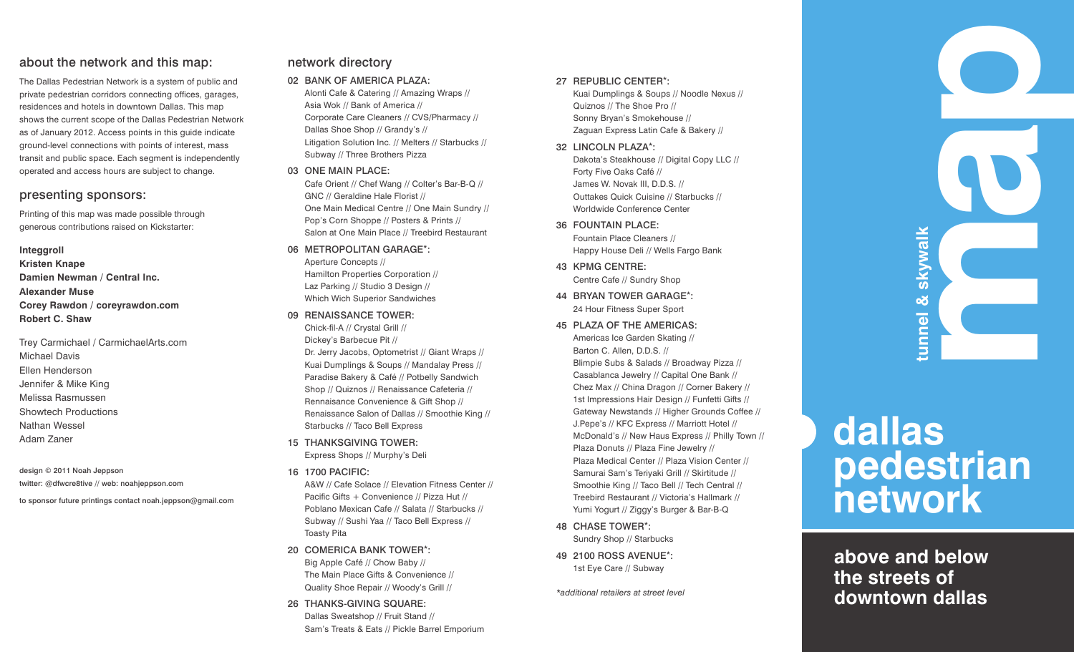#### about the network and this map:

The Dallas Pedestrian Network is a system of public and private pedestrian corridors connecting offices, garages, residences and hotels in downtown Dallas. This map shows the current scope of the Dallas Pedestrian Network as of January 2012. Access points in this guide indicate ground-level connections with points of interest, mass transit and public space. Each segment is independently operated and access hours are subject to change.

#### presenting sponsors:

Printing of this map was made possible through generous contributions raised on Kickstarter:

#### **Integgroll**

**Kristen Knape Damien Newman / Central Inc. Alexander Muse Corey Rawdon / coreyrawdon.com Robert C. Shaw** 

Trey Carmichael / CarmichaelArts.com Michael Davis Ellen Henderson Jennifer & Mike King Melissa Rasmussen Showtech Productions Nathan Wessel Adam Zaner

design © 2011 Noah Jeppson twitter: @dfwcre8tive // web: noahjeppson.com

to sponsor future printings contact noah.jeppson@gmail.com

#### network directory

02 BANK OF AMERICA PLAZA:

Alonti Cafe & Catering // Amazing Wraps // Asia Wok // Bank of America // Corporate Care Cleaners // CVS/Pharmacy // Dallas Shoe Shop // Grandy's // Litigation Solution Inc. // Melters // Starbucks // Subway // Three Brothers Pizza

#### 03 ONE MAIN PLACE:

Cafe Orient // Chef Wang // Colter's Bar-B-Q // GNC // Geraldine Hale Florist // One Main Medical Centre // One Main Sundry // Pop's Corn Shoppe // Posters & Prints // Salon at One Main Place // Treebird Restaurant

#### 06 METROPOLITAN GARAGE\*: Aperture Concepts // Hamilton Properties Corporation //

Laz Parking // Studio 3 Design // Which Wich Superior Sandwiches

#### 09 RENAISSANCE TOWER:

Chick-fil-A // Crystal Grill // Dickey's Barbecue Pit // Dr. Jerry Jacobs, Optometrist // Giant Wraps // Kuai Dumplings & Soups // Mandalay Press // Paradise Bakery & Café // Potbelly Sandwich Shop // Quiznos // Renaissance Cafeteria // Rennaisance Convenience & Gift Shop // Renaissance Salon of Dallas // Smoothie King // Starbucks // Taco Bell Express

- 15 THANKSGIVING TOWER: Express Shops // Murphy's Deli
- 16 1700 PACIFIC:

A&W // Cafe Solace // Elevation Fitness Center // Pacific Gifts + Convenience // Pizza Hut // Poblano Mexican Cafe // Salata // Starbucks // Subway // Sushi Yaa // Taco Bell Express // Toasty Pita

#### 20 COMERICA BANK TOWER\*: Big Apple Café // Chow Baby // The Main Place Gifts & Convenience // Quality Shoe Repair // Woody's Grill //

26 THANKS-GIVING SQUARE: Dallas Sweatshop // Fruit Stand // Sam's Treats & Eats // Pickle Barrel Emporium

#### 27 REPUBLIC CENTER\*:

Kuai Dumplings & Soups // Noodle Nexus // Quiznos // The Shoe Pro // Sonny Bryan's Smokehouse // Zaguan Express Latin Cafe & Bakery //

32 LINCOLN PLAZA\*:

Dakota's Steakhouse // Digital Copy LLC // Forty Five Oaks Café // James W. Novak III, D.D.S. // Outtakes Quick Cuisine // Starbucks // Worldwide Conference Center

#### 36 FOUNTAIN PLACE:

Fountain Place Cleaners // Happy House Deli // Wells Fargo Bank

- 43 KPMG CENTRE: Centre Cafe // Sundry Shop
- 44 BRYAN TOWER GARAGE\*: 24 Hour Fitness Super Sport

#### 45 PLAZA OF THE AMERICAS:

Americas Ice Garden Skating // Barton C. Allen, D.D.S. // Blimpie Subs & Salads // Broadway Pizza // Casablanca Jewelry // Capital One Bank // Chez Max // China Dragon // Corner Bakery // 1st Impressions Hair Design // Funfetti Gifts // Gateway Newstands // Higher Grounds Coffee // J.Pepe's // KFC Express // Marriott Hotel // McDonald's // New Haus Express // Philly Town // Plaza Donuts // Plaza Fine Jewelry // Plaza Medical Center // Plaza Vision Center // Samurai Sam's Teriyaki Grill // Skirtitude // Smoothie King // Taco Bell // Tech Central // Treebird Restaurant // Victoria's Hallmark // Yumi Yogurt // Ziggy's Burger & Bar-B-Q

#### 48 CHASE TOWER\*:

Sundry Shop // Starbucks

49 2100 ROSS AVENUE\*: 1st Eye Care // Subway

*\*additional retailers at street level*

# **map**<br> **map**<br> **map**<br> **map**<br> **map**<br> **map**<br>
<br>
<br>
<br>
<br><br> skywalk **tunnel & skywalk**tunnel &

## **dallas pedestrian network**

### **above and below the streets of downtown dallas**